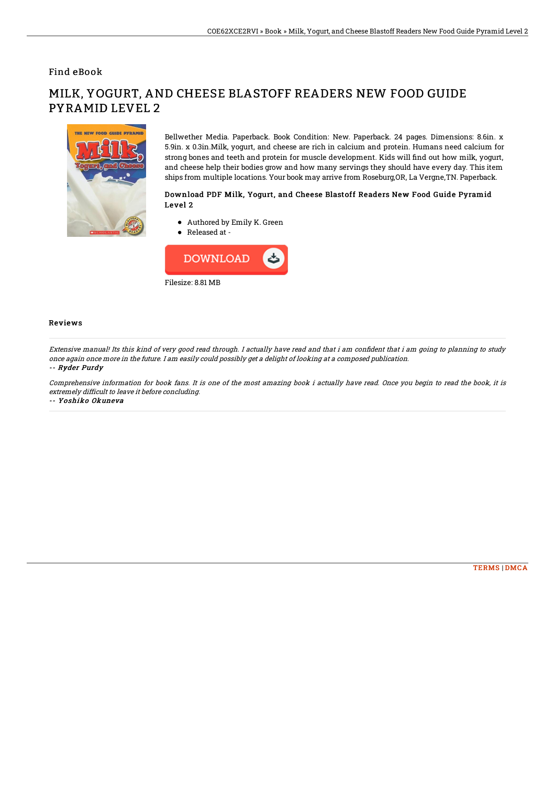### Find eBook

# THE NEW FOOD CHIDE BYDAMI

# MILK, YOGURT, AND CHEESE BLASTOFF READERS NEW FOOD GUIDE PYRAMID LEVEL 2

Bellwether Media. Paperback. Book Condition: New. Paperback. 24 pages. Dimensions: 8.6in. x 5.9in. x 0.3in.Milk, yogurt, and cheese are rich in calcium and protein. Humans need calcium for strong bones and teeth and protein for muscle development. Kids will 7nd out how milk, yogurt, and cheese help their bodies grow and how many servings they should have every day. This item ships from multiple locations. Your book may arrive from Roseburg,OR, La Vergne,TN. Paperback.

### Download PDF Milk, Yogurt, and Cheese Blastoff Readers New Food Guide Pyramid Level 2

- Authored by Emily K. Green
- Released at -



### Reviews

Extensive manual! Its this kind of very good read through. I actually have read and that i am confident that i am going to planning to study once again once more in the future. I am easily could possibly get <sup>a</sup> delight of looking at <sup>a</sup> composed publication. -- Ryder Purdy

Comprehensive information for book fans. It is one of the most amazing book i actually have read. Once you begin to read the book, it is extremely difficult to leave it before concluding.

-- Yoshiko Okuneva